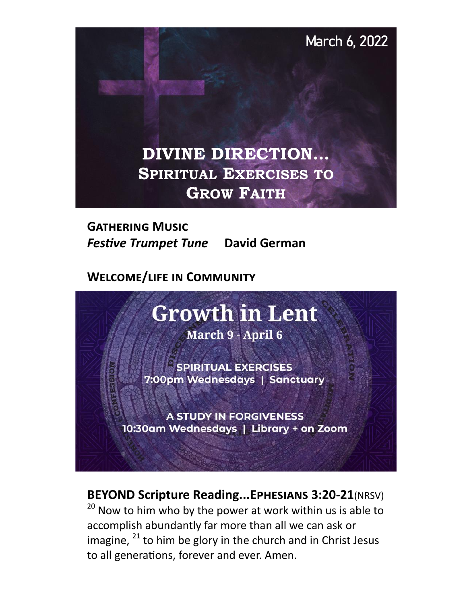

**Gathering Music**  *Festive Trumpet Tune* **David German** 

**Welcome/life in Community** 

# **Growth in Lent**

March 9 - April 6

**SPIRITUAL EXERCISES** 7:00pm Wednesdays | Sanctuary

**A STUDY IN FORGIVENESS** 10:30am Wednesdays | Library + on Zoom

# **BEYOND Scripture Reading...Ephesians 3:20-21**(NRSV)

 $20$  Now to him who by the power at work within us is able to accomplish abundantly far more than all we can ask or imagine,  $^{21}$  to him be glory in the church and in Christ Jesus to all generations, forever and ever. Amen.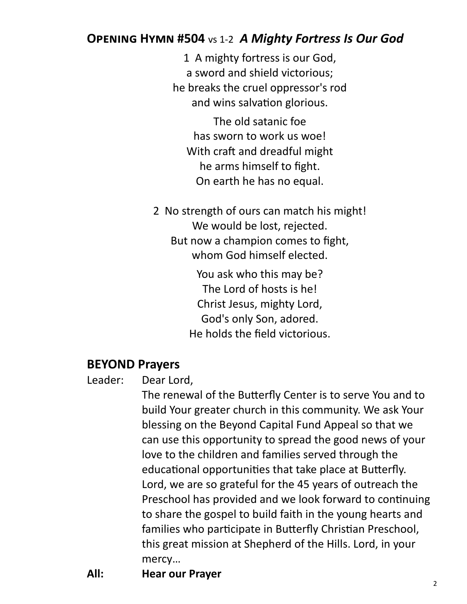# **Opening Hymn #504** vs 1-2*A Mighty Fortress Is Our God*

1 A mighty fortress is our God, a sword and shield victorious; he breaks the cruel oppressor's rod and wins salvation glorious.

The old satanic foe has sworn to work us woe! With craft and dreadful might he arms himself to fight. On earth he has no equal.

2 No strength of ours can match his might! We would be lost, rejected. But now a champion comes to fight, whom God himself elected.

> You ask who this may be? The Lord of hosts is he! Christ Jesus, mighty Lord, God's only Son, adored. He holds the field victorious.

#### **BEYOND Prayers**

Leader: Dear Lord,

The renewal of the Butterfly Center is to serve You and to build Your greater church in this community. We ask Your blessing on the Beyond Capital Fund Appeal so that we can use this opportunity to spread the good news of your love to the children and families served through the educational opportunities that take place at Butterfly. Lord, we are so grateful for the 45 years of outreach the Preschool has provided and we look forward to continuing to share the gospel to build faith in the young hearts and families who participate in Butterfly Christian Preschool, this great mission at Shepherd of the Hills. Lord, in your mercy…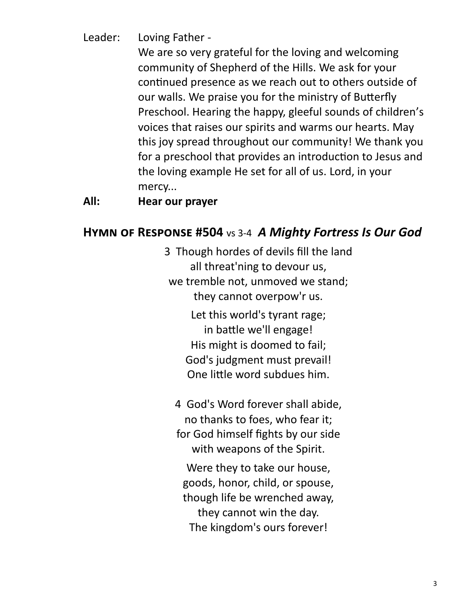Leader: Loving Father -

We are so very grateful for the loving and welcoming community of Shepherd of the Hills. We ask for your continued presence as we reach out to others outside of our walls. We praise you for the ministry of Butterfly Preschool. Hearing the happy, gleeful sounds of children's voices that raises our spirits and warms our hearts. May this joy spread throughout our community! We thank you for a preschool that provides an introduction to Jesus and the loving example He set for all of us. Lord, in your mercy...

#### **All: Hear our prayer**

#### **Hymn of Response #504** vs 3-4*A Mighty Fortress Is Our God*

3 Though hordes of devils fill the land all threat'ning to devour us, we tremble not, unmoved we stand; they cannot overpow'r us.

> Let this world's tyrant rage; in battle we'll engage! His might is doomed to fail; God's judgment must prevail! One little word subdues him.

4 God's Word forever shall abide, no thanks to foes, who fear it; for God himself fights by our side with weapons of the Spirit.

Were they to take our house, goods, honor, child, or spouse, though life be wrenched away, they cannot win the day. The kingdom's ours forever!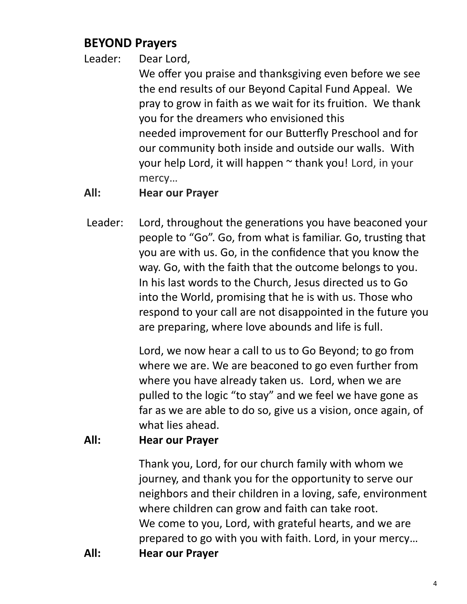# **BEYOND Prayers**

Leader: Dear Lord,

We offer you praise and thanksgiving even before we see the end results of our Beyond Capital Fund Appeal. We pray to grow in faith as we wait for its fruition. We thank you for the dreamers who envisioned this needed improvement for our Butterfly Preschool and for our community both inside and outside our walls. With your help Lord, it will happen ~ thank you! Lord, in your mercy…

# **All: Hear our Prayer**

Leader: Lord, throughout the generations you have beaconed your people to "Go". Go, from what is familiar. Go, trusting that you are with us. Go, in the confidence that you know the way. Go, with the faith that the outcome belongs to you. In his last words to the Church, Jesus directed us to Go into the World, promising that he is with us. Those who respond to your call are not disappointed in the future you are preparing, where love abounds and life is full.

> Lord, we now hear a call to us to Go Beyond; to go from where we are. We are beaconed to go even further from where you have already taken us. Lord, when we are pulled to the logic "to stay" and we feel we have gone as far as we are able to do so, give us a vision, once again, of what lies ahead.

# **All: Hear our Prayer**

Thank you, Lord, for our church family with whom we journey, and thank you for the opportunity to serve our neighbors and their children in a loving, safe, environment where children can grow and faith can take root. We come to you, Lord, with grateful hearts, and we are prepared to go with you with faith. Lord, in your mercy… **All: Hear our Prayer**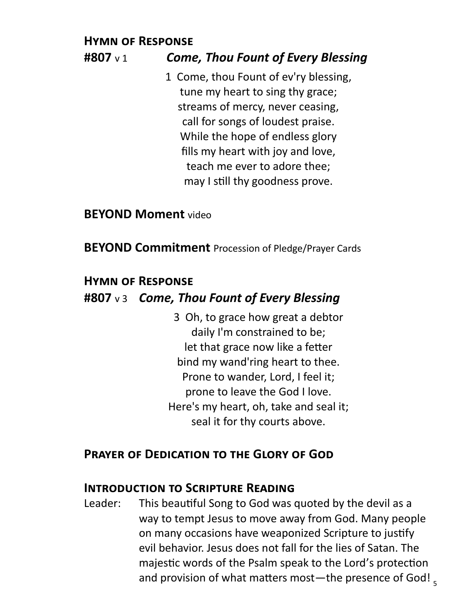# **Hymn of Response**

# **#807** v 1*Come, Thou Fount of Every Blessing*

1 Come, thou Fount of ev'ry blessing, tune my heart to sing thy grace; streams of mercy, never ceasing, call for songs of loudest praise. While the hope of endless glory fills my heart with joy and love, teach me ever to adore thee; may I still thy goodness prove.

**BEYOND Moment** video

**BEYOND Commitment** Procession of Pledge/Prayer Cards

#### **Hymn of Response**

### **#807** v 3 *Come, Thou Fount of Every Blessing*

3 Oh, to grace how great a debtor daily I'm constrained to be; let that grace now like a fetter bind my wand'ring heart to thee. Prone to wander, Lord, I feel it; prone to leave the God I love. Here's my heart, oh, take and seal it; seal it for thy courts above.

#### **Prayer of Dedication to the Glory of God**

#### **Introduction to Scripture Reading**

and provision of what matters most—the presence of God! <sub>5</sub> Leader: This beautiful Song to God was quoted by the devil as a way to tempt Jesus to move away from God. Many people on many occasions have weaponized Scripture to justify evil behavior. Jesus does not fall for the lies of Satan. The majestic words of the Psalm speak to the Lord's protection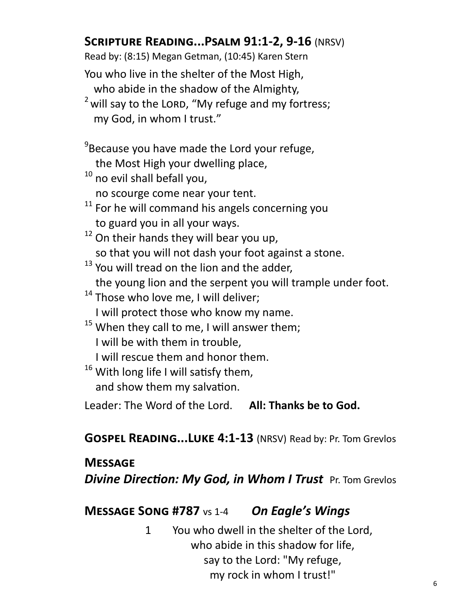# **Scripture Reading...Psalm 91:1-2, 9-16** (NRSV)

Read by: (8:15) Megan Getman, (10:45) Karen Stern

You who live in the shelter of the Most High, who abide in the shadow of the Almighty,

 $2$  will say to the LORD, "My refuge and my fortress; my God, in whom I trust."

<sup>9</sup>Because you have made the Lord your refuge, the Most High your dwelling place,

- <sup>10</sup> no evil shall befall you, no scourge come near your tent.
- $11$  For he will command his angels concerning you to guard you in all your ways.
- $12$  On their hands they will bear you up, so that you will not dash your foot against a stone.
- <sup>13</sup> You will tread on the lion and the adder, the young lion and the serpent you will trample under foot.
- $14$  Those who love me, I will deliver; I will protect those who know my name.
- $15$  When they call to me, I will answer them; I will be with them in trouble,
	- I will rescue them and honor them.
- $16$  With long life I will satisfy them, and show them my salvation.

Leader: The Word of the Lord. **All: Thanks be to God.**

**Gospel Reading...Luke 4:1-13** (NRSV) Read by: Pr. Tom Grevlos

# **Message**

*Divine Direction: My God, in Whom I Trust Pr. Tom Grevlos* 

# **Message Song #787** vs 1-4 *On Eagle's Wings*

1 You who dwell in the shelter of the Lord, who abide in this shadow for life. say to the Lord: "My refuge, my rock in whom I trust!"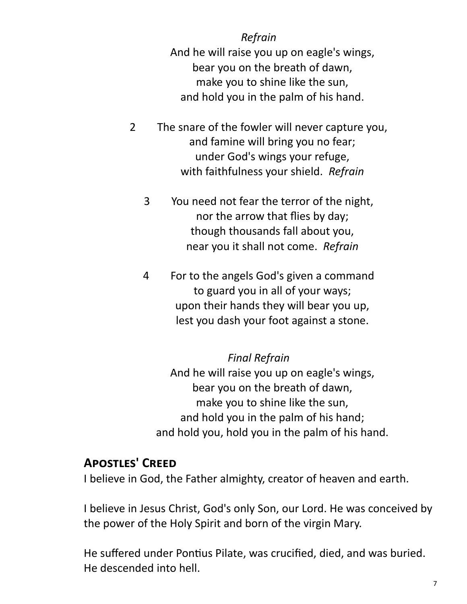#### *Refrain*

And he will raise you up on eagle's wings, bear you on the breath of dawn, make you to shine like the sun, and hold you in the palm of his hand.

- 2 The snare of the fowler will never capture you, and famine will bring you no fear; under God's wings your refuge, with faithfulness your shield. *Refrain*
	- 3 You need not fear the terror of the night, nor the arrow that flies by day; though thousands fall about you, near you it shall not come. *Refrain*
	- 4 For to the angels God's given a command to guard you in all of your ways; upon their hands they will bear you up, lest you dash your foot against a stone.

#### *Final Refrain*

And he will raise you up on eagle's wings, bear you on the breath of dawn, make you to shine like the sun, and hold you in the palm of his hand; and hold you, hold you in the palm of his hand.

# **Apostles' Creed**

I believe in God, the Father almighty, creator of heaven and earth.

I believe in Jesus Christ, God's only Son, our Lord. He was conceived by the power of the Holy Spirit and born of the virgin Mary.

He suffered under Pontius Pilate, was crucified, died, and was buried. He descended into hell.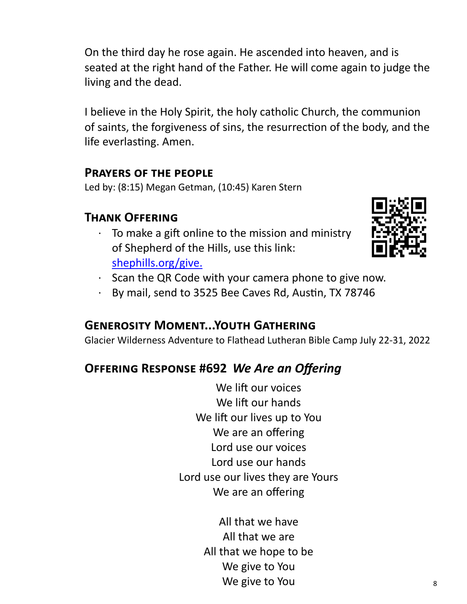On the third day he rose again. He ascended into heaven, and is seated at the right hand of the Father. He will come again to judge the living and the dead.

I believe in the Holy Spirit, the holy catholic Church, the communion of saints, the forgiveness of sins, the resurrection of the body, and the life everlasting. Amen.

#### **Prayers of the people**

Led by: (8:15) Megan Getman, (10:45) Karen Stern

# **Thank Offering**

To make a gift online to the mission and ministry of Shepherd of the Hills, use this link: [shephills.org/give.](https://shephills.org/give/)



- · Scan the QR Code with your camera phone to give now.
- · By mail, send to 3525 Bee Caves Rd, Austin, TX 78746

# **Generosity Moment...Youth Gathering**

Glacier Wilderness Adventure to Flathead Lutheran Bible Camp July 22-31, 2022

# **Offering Response #692** *We Are an Offering*

We lift our voices We lift our hands We lift our lives up to You We are an offering Lord use our voices Lord use our hands Lord use our lives they are Yours We are an offering

> All that we have All that we are All that we hope to be We give to You We give to You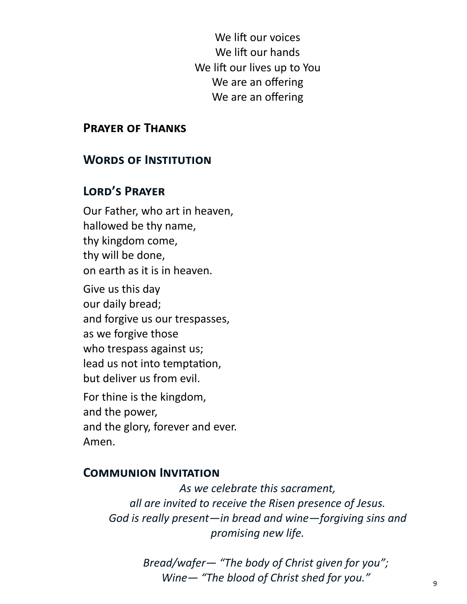We lift our voices We lift our hands We lift our lives up to You We are an offering We are an offering

#### **Prayer of Thanks**

#### **Words of Institution**

#### **Lord's Prayer**

Our Father, who art in heaven, hallowed be thy name, thy kingdom come, thy will be done, on earth as it is in heaven. Give us this day

our daily bread; and forgive us our trespasses, as we forgive those who trespass against us; lead us not into temptation, but deliver us from evil.

For thine is the kingdom, and the power, and the glory, forever and ever. Amen.

#### **Communion Invitation**

*As we celebrate this sacrament, all are invited to receive the Risen presence of Jesus. God is really present—in bread and wine—forgiving sins and promising new life.* 

> *Bread/wafer— "The body of Christ given for you"; Wine— "The blood of Christ shed for you."*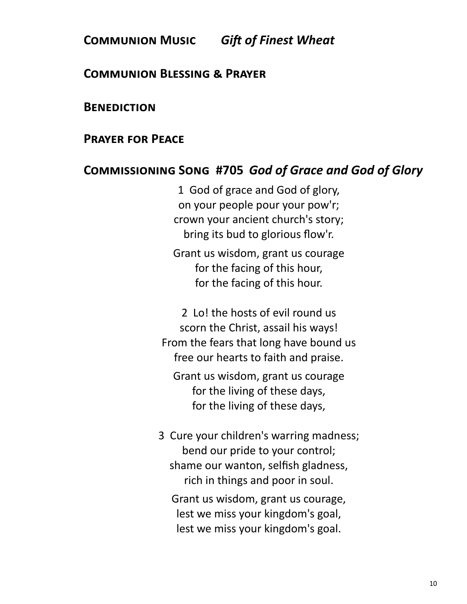# **Communion Music** *Gift of Finest Wheat*

#### **Communion Blessing & Prayer**

#### **Benediction**

#### **Prayer for Peace**

#### **Commissioning Song #705** *God of Grace and God of Glory*

1 God of grace and God of glory, on your people pour your pow'r; crown your ancient church's story; bring its bud to glorious flow'r.

Grant us wisdom, grant us courage for the facing of this hour, for the facing of this hour.

2 Lo! the hosts of evil round us scorn the Christ, assail his ways! From the fears that long have bound us free our hearts to faith and praise.

Grant us wisdom, grant us courage for the living of these days, for the living of these days,

3 Cure your children's warring madness; bend our pride to your control; shame our wanton, selfish gladness, rich in things and poor in soul.

Grant us wisdom, grant us courage, lest we miss your kingdom's goal, lest we miss your kingdom's goal.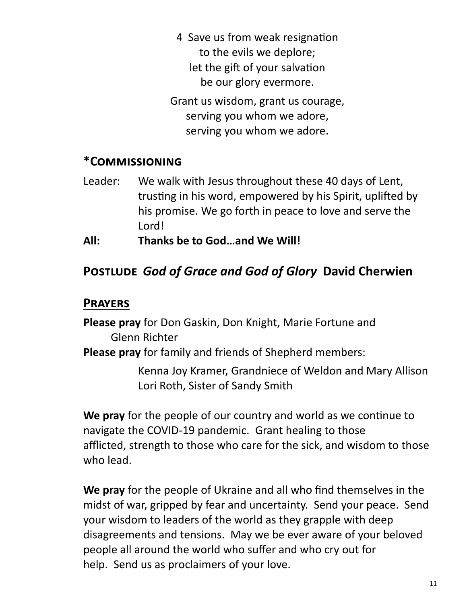4 Save us from weak resignation to the evils we deplore; let the gift of your salvation be our glory evermore.

Grant us wisdom, grant us courage, serving you whom we adore, serving you whom we adore.

#### **\*Commissioning**

- Leader: We walk with Jesus throughout these 40 days of Lent, trusting in his word, empowered by his Spirit, uplifted by his promise. We go forth in peace to love and serve the Lord!
- **All: Thanks be to God…and We Will!**

# **Postlude** *God of Grace and God of Glory* **David Cherwien**

#### **Prayers**

**Please pray** for Don Gaskin, Don Knight, Marie Fortune and Glenn Richter

**Please pray** for family and friends of Shepherd members:

Kenna Joy Kramer, Grandniece of Weldon and Mary Allison Lori Roth, Sister of Sandy Smith

**We pray** for the people of our country and world as we continue to navigate the COVID-19 pandemic. Grant healing to those afflicted, strength to those who care for the sick, and wisdom to those who lead.

**We pray** for the people of Ukraine and all who find themselves in the midst of war, gripped by fear and uncertainty. Send your peace. Send your wisdom to leaders of the world as they grapple with deep disagreements and tensions. May we be ever aware of your beloved people all around the world who suffer and who cry out for help. Send us as proclaimers of your love.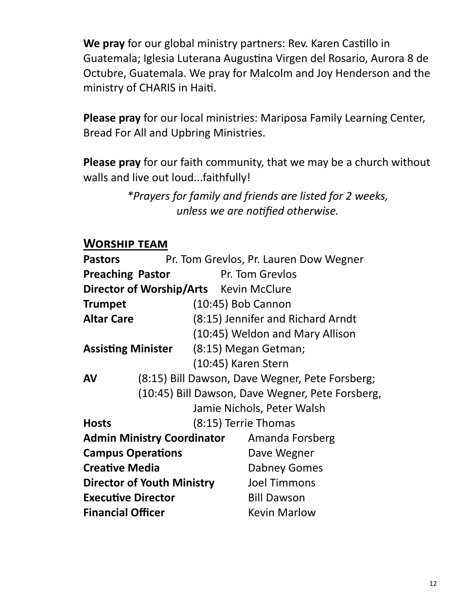**We pray** for our global ministry partners: Rev. Karen Castillo in Guatemala; Iglesia Luterana Augustina Virgen del Rosario, Aurora 8 de Octubre, Guatemala. We pray for Malcolm and Joy Henderson and the ministry of CHARIS in Haiti.

**Please pray** for our local ministries: Mariposa Family Learning Center, Bread For All and Upbring Ministries.

**Please pray** for our faith community, that we may be a church without walls and live out loud...faithfully!

> *\*Prayers for family and friends are listed for 2 weeks, unless we are notified otherwise.*

#### **Worship team**

| <b>Pastors</b>                                   | Pr. Tom Grevlos, Pr. Lauren Dow Wegner          |                                   |
|--------------------------------------------------|-------------------------------------------------|-----------------------------------|
| <b>Preaching Pastor</b><br>Pr. Tom Grevlos       |                                                 |                                   |
| Director of Worship/Arts Kevin McClure           |                                                 |                                   |
| $(10:45)$ Bob Cannon<br><b>Trumpet</b>           |                                                 |                                   |
| <b>Altar Care</b>                                |                                                 | (8:15) Jennifer and Richard Arndt |
|                                                  |                                                 | (10:45) Weldon and Mary Allison   |
| <b>Assisting Minister</b> (8:15) Megan Getman;   |                                                 |                                   |
|                                                  | (10:45) Karen Stern                             |                                   |
| <b>AV</b>                                        | (8:15) Bill Dawson, Dave Wegner, Pete Forsberg; |                                   |
| (10:45) Bill Dawson, Dave Wegner, Pete Forsberg, |                                                 |                                   |
| Jamie Nichols, Peter Walsh                       |                                                 |                                   |
| <b>Hosts</b>                                     | (8:15) Terrie Thomas                            |                                   |
| <b>Admin Ministry Coordinator</b>                |                                                 | Amanda Forsberg                   |
| <b>Campus Operations</b>                         |                                                 | Dave Wegner                       |
| <b>Creative Media</b>                            |                                                 | <b>Dabney Gomes</b>               |
| <b>Director of Youth Ministry</b>                |                                                 | <b>Joel Timmons</b>               |
| <b>Executive Director</b>                        |                                                 | <b>Bill Dawson</b>                |
| <b>Financial Officer</b>                         |                                                 | <b>Kevin Marlow</b>               |